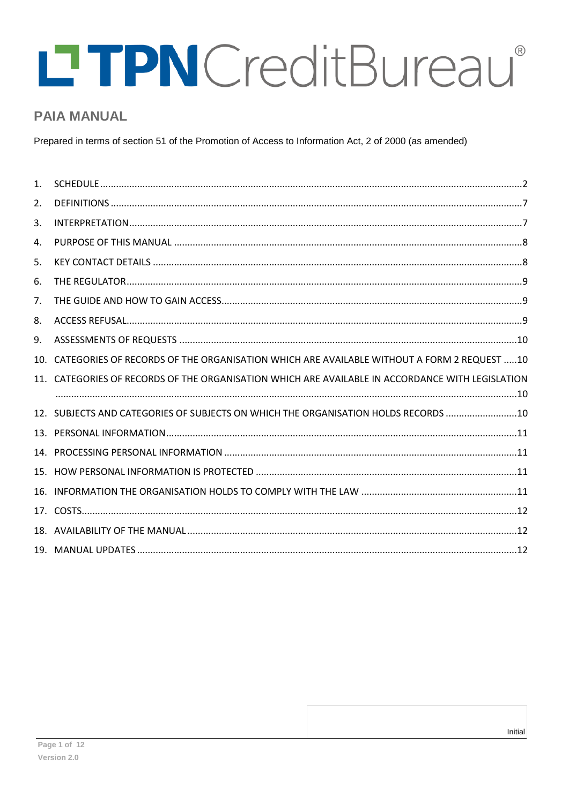# LTPN Credit Bureau®  $^\circledR$

# **PAIA MANUAL**

Prepared in terms of section 51 of the Promotion of Access to Information Act, 2 of 2000 (as amended)

| 1. |                                                                                                  |  |
|----|--------------------------------------------------------------------------------------------------|--|
| 2. |                                                                                                  |  |
| 3. |                                                                                                  |  |
| 4. |                                                                                                  |  |
| 5. |                                                                                                  |  |
| 6. |                                                                                                  |  |
| 7. |                                                                                                  |  |
| 8. |                                                                                                  |  |
| 9. |                                                                                                  |  |
|    | 10. CATEGORIES OF RECORDS OF THE ORGANISATION WHICH ARE AVAILABLE WITHOUT A FORM 2 REQUEST 10    |  |
|    | 11. CATEGORIES OF RECORDS OF THE ORGANISATION WHICH ARE AVAILABLE IN ACCORDANCE WITH LEGISLATION |  |
|    | 12. SUBJECTS AND CATEGORIES OF SUBJECTS ON WHICH THE ORGANISATION HOLDS RECORDS 10               |  |
|    |                                                                                                  |  |
|    |                                                                                                  |  |
|    |                                                                                                  |  |
|    |                                                                                                  |  |
|    |                                                                                                  |  |
|    |                                                                                                  |  |
|    |                                                                                                  |  |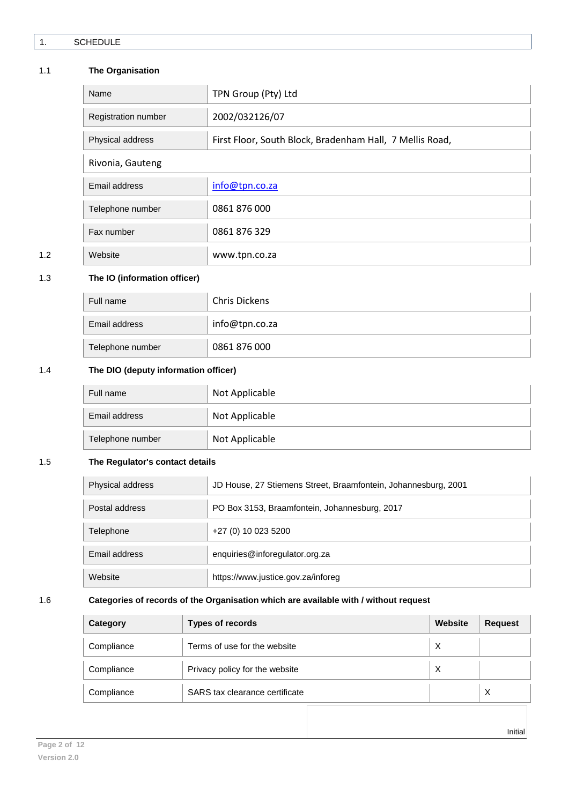# <span id="page-1-0"></span>1.1 **The Organisation**

|     | Name                | TPN Group (Pty) Ltd                                      |
|-----|---------------------|----------------------------------------------------------|
|     | Registration number | 2002/032126/07                                           |
|     | Physical address    | First Floor, South Block, Bradenham Hall, 7 Mellis Road, |
|     | Rivonia, Gauteng    |                                                          |
|     | Email address       | info@tpn.co.za                                           |
|     | Telephone number    | 0861 876 000                                             |
|     | Fax number          | 0861 876 329                                             |
| 1.2 | Website             | www.tpn.co.za                                            |

# 1.3 **The IO (information officer)**

| Full name        | Chris Dickens  |
|------------------|----------------|
| Email address    | info@tpn.co.za |
| Telephone number | 0861 876 000   |

## 1.4 **The DIO (deputy information officer)**

| Full name        | Not Applicable |
|------------------|----------------|
| Email address    | Not Applicable |
| Telephone number | Not Applicable |

# 1.5 **The Regulator's contact details**

| Physical address | JD House, 27 Stiemens Street, Braamfontein, Johannesburg, 2001 |  |
|------------------|----------------------------------------------------------------|--|
| Postal address   | PO Box 3153, Braamfontein, Johannesburg, 2017                  |  |
| Telephone        | +27 (0) 10 023 5200                                            |  |
| Email address    | enquiries@inforegulator.org.za                                 |  |
| Website          | https://www.justice.gov.za/inforeg                             |  |

# 1.6 **Categories of records of the Organisation which are available with / without request**

| Category   | <b>Types of records</b>        | Website  | <b>Request</b> |
|------------|--------------------------------|----------|----------------|
| Compliance | Terms of use for the website   | $\times$ |                |
| Compliance | Privacy policy for the website | X        |                |
| Compliance | SARS tax clearance certificate |          | X              |
|            |                                |          |                |

Initial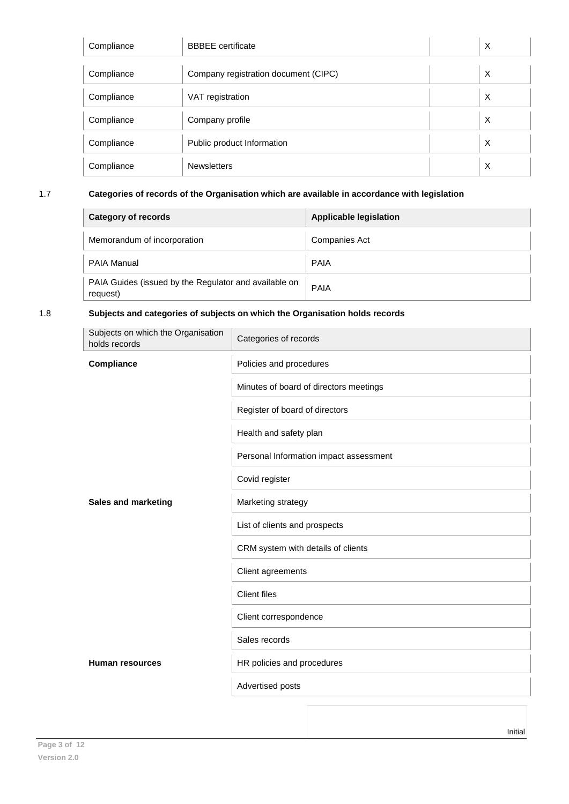| Compliance | <b>BBBEE</b> certificate             | X |
|------------|--------------------------------------|---|
|            |                                      |   |
| Compliance | Company registration document (CIPC) | X |
| Compliance | VAT registration                     | X |
| Compliance | Company profile                      | X |
| Compliance | Public product Information           | X |
| Compliance | <b>Newsletters</b>                   | X |

# 1.7 **Categories of records of the Organisation which are available in accordance with legislation**

| <b>Category of records</b>                                        | <b>Applicable legislation</b> |
|-------------------------------------------------------------------|-------------------------------|
| Memorandum of incorporation                                       | Companies Act                 |
| <b>PAIA Manual</b>                                                | <b>PAIA</b>                   |
| PAIA Guides (issued by the Regulator and available on<br>request) | <b>PAIA</b>                   |

# 1.8 **Subjects and categories of subjects on which the Organisation holds records**

| Subjects on which the Organisation<br>holds records | Categories of records                  |
|-----------------------------------------------------|----------------------------------------|
| Compliance                                          | Policies and procedures                |
|                                                     | Minutes of board of directors meetings |
|                                                     | Register of board of directors         |
|                                                     | Health and safety plan                 |
|                                                     | Personal Information impact assessment |
|                                                     | Covid register                         |
| <b>Sales and marketing</b>                          | Marketing strategy                     |
|                                                     | List of clients and prospects          |
|                                                     | CRM system with details of clients     |
|                                                     | Client agreements                      |
|                                                     | <b>Client files</b>                    |
|                                                     | Client correspondence                  |
|                                                     | Sales records                          |
| <b>Human resources</b>                              | HR policies and procedures             |
|                                                     | Advertised posts                       |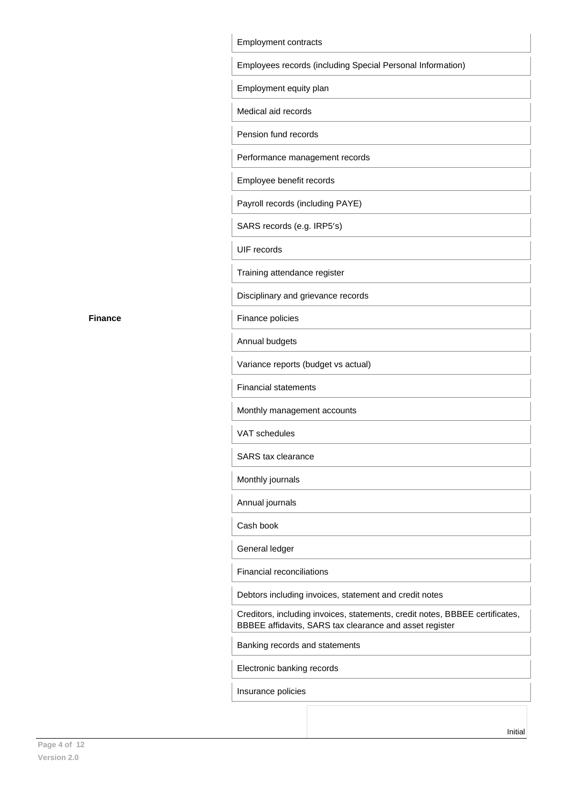| Employees records (including Special Personal Information) |                                                                                                                                         |  |
|------------------------------------------------------------|-----------------------------------------------------------------------------------------------------------------------------------------|--|
| Employment equity plan                                     |                                                                                                                                         |  |
|                                                            | Medical aid records                                                                                                                     |  |
|                                                            | Pension fund records                                                                                                                    |  |
|                                                            | Performance management records                                                                                                          |  |
|                                                            | Employee benefit records                                                                                                                |  |
|                                                            | Payroll records (including PAYE)                                                                                                        |  |
|                                                            | SARS records (e.g. IRP5's)                                                                                                              |  |
|                                                            | <b>UIF</b> records                                                                                                                      |  |
|                                                            | Training attendance register                                                                                                            |  |
|                                                            | Disciplinary and grievance records                                                                                                      |  |
|                                                            | Finance policies                                                                                                                        |  |
|                                                            | Annual budgets                                                                                                                          |  |
|                                                            | Variance reports (budget vs actual)                                                                                                     |  |
|                                                            | <b>Financial statements</b>                                                                                                             |  |
|                                                            | Monthly management accounts                                                                                                             |  |
|                                                            | VAT schedules                                                                                                                           |  |
|                                                            | <b>SARS</b> tax clearance                                                                                                               |  |
|                                                            | Monthly journals                                                                                                                        |  |
|                                                            | Annual journals                                                                                                                         |  |
|                                                            | Cash book                                                                                                                               |  |
|                                                            | General ledger                                                                                                                          |  |
|                                                            | Financial reconciliations                                                                                                               |  |
|                                                            | Debtors including invoices, statement and credit notes                                                                                  |  |
|                                                            | Creditors, including invoices, statements, credit notes, BBBEE certificates,<br>BBBEE affidavits, SARS tax clearance and asset register |  |
|                                                            | Banking records and statements                                                                                                          |  |
|                                                            | Electronic banking records                                                                                                              |  |

**Finance**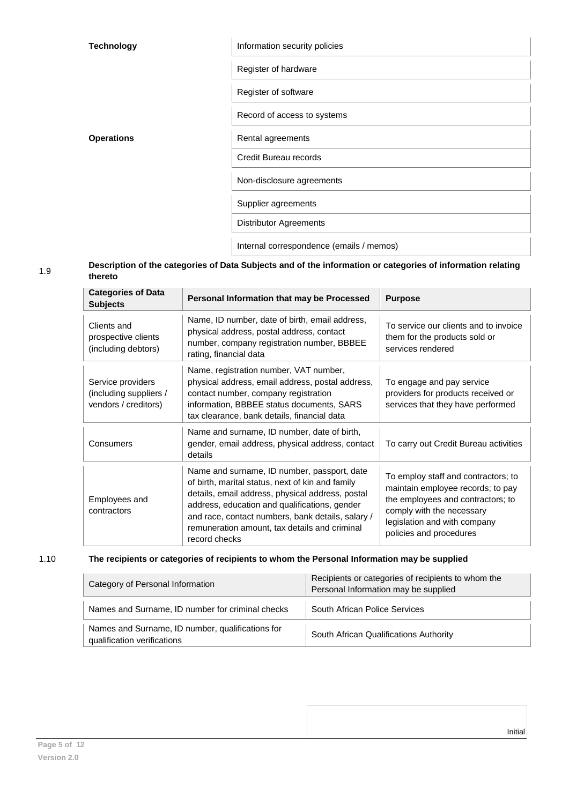| <b>Technology</b> | Information security policies            |
|-------------------|------------------------------------------|
|                   | Register of hardware                     |
|                   | Register of software                     |
|                   | Record of access to systems              |
| <b>Operations</b> | Rental agreements                        |
|                   | Credit Bureau records                    |
|                   | Non-disclosure agreements                |
|                   | Supplier agreements                      |
|                   | <b>Distributor Agreements</b>            |
|                   | Internal correspondence (emails / memos) |
|                   |                                          |

### 1.9 **Description of the categories of Data Subjects and of the information or categories of information relating thereto**

| <b>Categories of Data</b><br><b>Subjects</b>                        | Personal Information that may be Processed                                                                                                                                                                                                                                                                                  | <b>Purpose</b>                                                                                                                                                                                        |
|---------------------------------------------------------------------|-----------------------------------------------------------------------------------------------------------------------------------------------------------------------------------------------------------------------------------------------------------------------------------------------------------------------------|-------------------------------------------------------------------------------------------------------------------------------------------------------------------------------------------------------|
| Clients and<br>prospective clients<br>(including debtors)           | Name, ID number, date of birth, email address,<br>physical address, postal address, contact<br>number, company registration number, BBBEE<br>rating, financial data                                                                                                                                                         | To service our clients and to invoice<br>them for the products sold or<br>services rendered                                                                                                           |
| Service providers<br>(including suppliers /<br>vendors / creditors) | Name, registration number, VAT number,<br>physical address, email address, postal address,<br>contact number, company registration<br>information, BBBEE status documents, SARS<br>tax clearance, bank details, financial data                                                                                              | To engage and pay service<br>providers for products received or<br>services that they have performed                                                                                                  |
| Consumers                                                           | Name and surname, ID number, date of birth,<br>gender, email address, physical address, contact<br>details                                                                                                                                                                                                                  | To carry out Credit Bureau activities                                                                                                                                                                 |
| Employees and<br>contractors                                        | Name and surname, ID number, passport, date<br>of birth, marital status, next of kin and family<br>details, email address, physical address, postal<br>address, education and qualifications, gender<br>and race, contact numbers, bank details, salary /<br>remuneration amount, tax details and criminal<br>record checks | To employ staff and contractors; to<br>maintain employee records; to pay<br>the employees and contractors; to<br>comply with the necessary<br>legislation and with company<br>policies and procedures |

# 1.10 **The recipients or categories of recipients to whom the Personal Information may be supplied**

| Category of Personal Information                                                | Recipients or categories of recipients to whom the<br>Personal Information may be supplied |  |
|---------------------------------------------------------------------------------|--------------------------------------------------------------------------------------------|--|
| Names and Surname, ID number for criminal checks                                | South African Police Services                                                              |  |
| Names and Surname, ID number, qualifications for<br>qualification verifications | South African Qualifications Authority                                                     |  |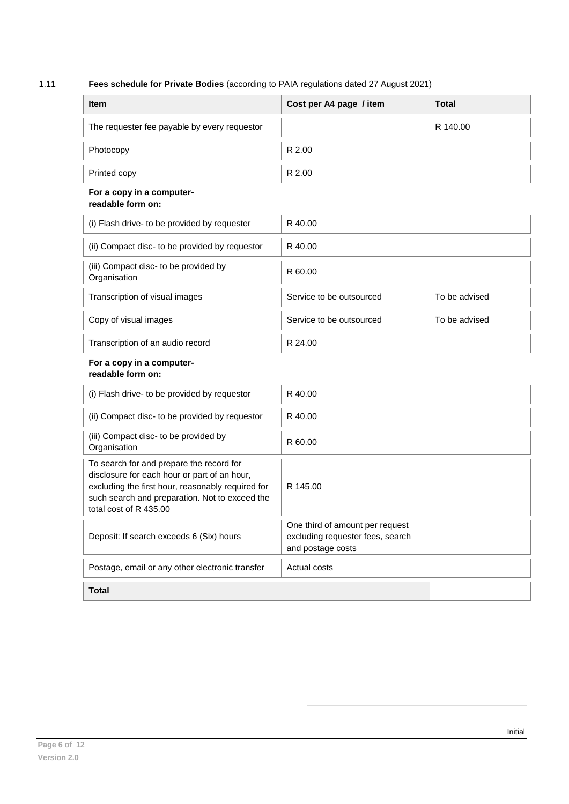# 1.11 **Fees schedule for Private Bodies** (according to PAIA regulations dated 27 August 2021)

| <b>Item</b>                                                                                                                                                                                                               | Cost per A4 page / item                                                                  | <b>Total</b>  |
|---------------------------------------------------------------------------------------------------------------------------------------------------------------------------------------------------------------------------|------------------------------------------------------------------------------------------|---------------|
| The requester fee payable by every requestor                                                                                                                                                                              |                                                                                          | R 140.00      |
| Photocopy                                                                                                                                                                                                                 | R 2.00                                                                                   |               |
| Printed copy                                                                                                                                                                                                              | R 2.00                                                                                   |               |
| For a copy in a computer-<br>readable form on:                                                                                                                                                                            |                                                                                          |               |
| (i) Flash drive- to be provided by requester                                                                                                                                                                              | R 40.00                                                                                  |               |
| (ii) Compact disc- to be provided by requestor                                                                                                                                                                            | R 40.00                                                                                  |               |
| (iii) Compact disc- to be provided by<br>Organisation                                                                                                                                                                     | R 60.00                                                                                  |               |
| Transcription of visual images                                                                                                                                                                                            | Service to be outsourced                                                                 | To be advised |
| Copy of visual images                                                                                                                                                                                                     | Service to be outsourced                                                                 | To be advised |
| Transcription of an audio record                                                                                                                                                                                          | R 24.00                                                                                  |               |
| For a copy in a computer-<br>readable form on:                                                                                                                                                                            |                                                                                          |               |
| (i) Flash drive- to be provided by requestor                                                                                                                                                                              | R 40.00                                                                                  |               |
| (ii) Compact disc- to be provided by requestor                                                                                                                                                                            | R 40.00                                                                                  |               |
| (iii) Compact disc- to be provided by<br>Organisation                                                                                                                                                                     | R 60.00                                                                                  |               |
| To search for and prepare the record for<br>disclosure for each hour or part of an hour,<br>excluding the first hour, reasonably required for<br>such search and preparation. Not to exceed the<br>total cost of R 435.00 | R 145.00                                                                                 |               |
| Deposit: If search exceeds 6 (Six) hours                                                                                                                                                                                  | One third of amount per request<br>excluding requester fees, search<br>and postage costs |               |
| Postage, email or any other electronic transfer                                                                                                                                                                           | Actual costs                                                                             |               |
| <b>Total</b>                                                                                                                                                                                                              |                                                                                          |               |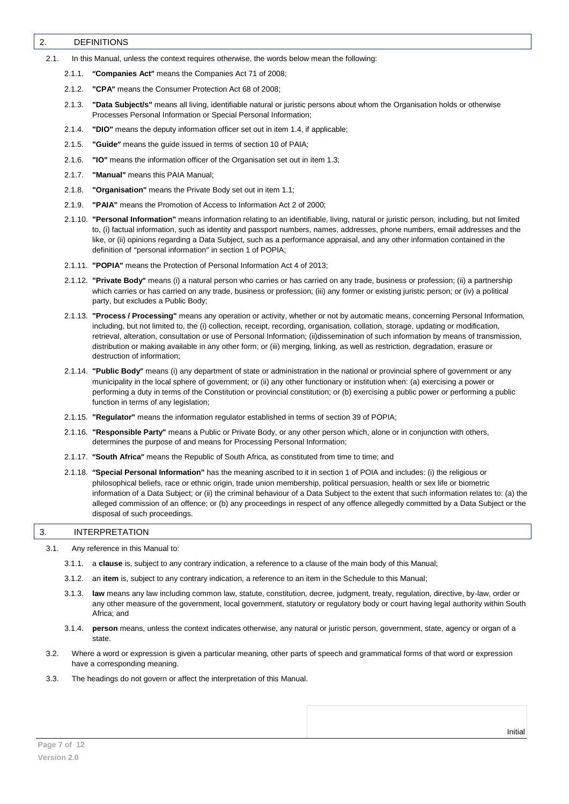#### <span id="page-6-0"></span>2. DEFINITIONS

2.1. In this Manual, unless the context requires otherwise, the words below mean the following:

- 2.1.1. **"Companies Act"** means the Companies Act 71 of 2008;
- 2.1.2. **"CPA"** means the Consumer Protection Act 68 of 2008;
- 2.1.3. **"Data Subject/s"** means all living, identifiable natural or juristic persons about whom the Organisation holds or otherwise Processes Personal Information or Special Personal Information;
- 2.1.4. **"DIO"** means the deputy information officer set out in item 1.4, if applicable;
- 2.1.5. **"Guide"** means the guide issued in terms of section 10 of PAIA;
- 2.1.6. **"IO"** means the information officer of the Organisation set out in item 1.3;
- 2.1.7. **"Manual"** means this PAIA Manual;
- 2.1.8. **"Organisation"** means the Private Body set out in item 1.1;
- 2.1.9. **"PAIA"** means the Promotion of Access to Information Act 2 of 2000;
- 2.1.10. **"Personal Information"** means information relating to an identifiable, living, natural or juristic person, including, but not limited to, (i) factual information, such as identity and passport numbers, names, addresses, phone numbers, email addresses and the like, or (ii) opinions regarding a Data Subject, such as a performance appraisal, and any other information contained in the definition of "personal information" in section 1 of POPIA;
- 2.1.11. **"POPIA"** means the Protection of Personal Information Act 4 of 2013;
- 2.1.12. **"Private Body"** means (i) a natural person who carries or has carried on any trade, business or profession; (ii) a partnership which carries or has carried on any trade, business or profession; (iii) any former or existing juristic person; or (iv) a political party, but excludes a Public Body;
- 2.1.13. **"Process / Processing"** means any operation or activity, whether or not by automatic means, concerning Personal Information, including, but not limited to, the (i) collection, receipt, recording, organisation, collation, storage, updating or modification, retrieval, alteration, consultation or use of Personal Information; (ii)dissemination of such information by means of transmission, distribution or making available in any other form; or (iii) merging, linking, as well as restriction, degradation, erasure or destruction of information;
- 2.1.14. **"Public Body"** means (i) any department of state or administration in the national or provincial sphere of government or any municipality in the local sphere of government; or (ii) any other functionary or institution when: (a) exercising a power or performing a duty in terms of the Constitution or provincial constitution; or (b) exercising a public power or performing a public function in terms of any legislation;
- 2.1.15. **"Regulator"** means the information regulator established in terms of section 39 of POPIA;
- 2.1.16. **"Responsible Party"** means a Public or Private Body, or any other person which, alone or in conjunction with others, determines the purpose of and means for Processing Personal Information;
- 2.1.17. **"South Africa"** means the Republic of South Africa, as constituted from time to time; and
- 2.1.18. **"Special Personal Information"** has the meaning ascribed to it in section 1 of POIA and includes: (i) the religious or philosophical beliefs, race or ethnic origin, trade union membership, political persuasion, health or sex life or biometric information of a Data Subject; or (ii) the criminal behaviour of a Data Subject to the extent that such information relates to: (a) the alleged commission of an offence; or (b) any proceedings in respect of any offence allegedly committed by a Data Subject or the disposal of such proceedings.

#### <span id="page-6-1"></span>3. INTERPRETATION

3.1. Any reference in this Manual to:

- 3.1.1. a **clause** is, subject to any contrary indication, a reference to a clause of the main body of this Manual;
- 3.1.2. an **item** is, subject to any contrary indication, a reference to an item in the Schedule to this Manual;
- 3.1.3. **law** means any law including common law, statute, constitution, decree, judgment, treaty, regulation, directive, by-law, order or any other measure of the government, local government, statutory or regulatory body or court having legal authority within South Africa: and
- 3.1.4. **person** means, unless the context indicates otherwise, any natural or juristic person, government, state, agency or organ of a state.
- 3.2. Where a word or expression is given a particular meaning, other parts of speech and grammatical forms of that word or expression have a corresponding meaning.
- 3.3. The headings do not govern or affect the interpretation of this Manual.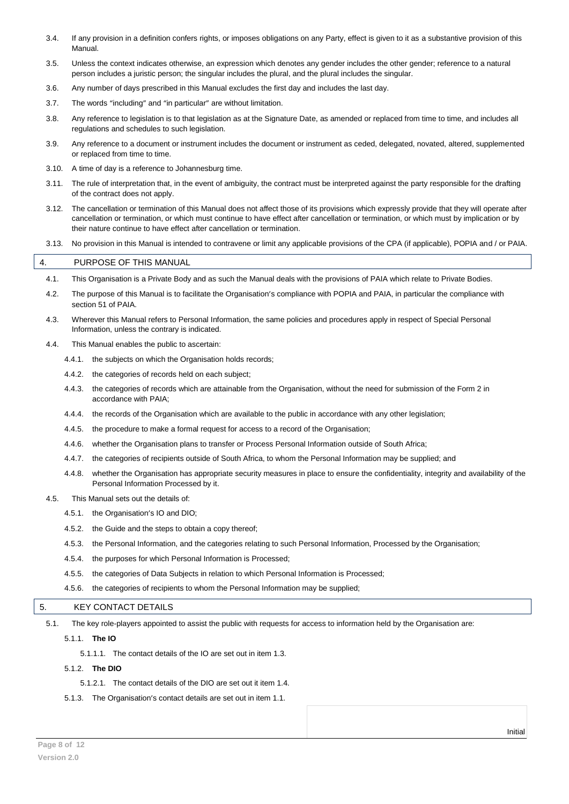- 3.4. If any provision in a definition confers rights, or imposes obligations on any Party, effect is given to it as a substantive provision of this Manual.
- 3.5. Unless the context indicates otherwise, an expression which denotes any gender includes the other gender; reference to a natural person includes a juristic person; the singular includes the plural, and the plural includes the singular.
- 3.6. Any number of days prescribed in this Manual excludes the first day and includes the last day.
- 3.7. The words "including" and "in particular" are without limitation.
- 3.8. Any reference to legislation is to that legislation as at the Signature Date, as amended or replaced from time to time, and includes all regulations and schedules to such legislation.
- 3.9. Any reference to a document or instrument includes the document or instrument as ceded, delegated, novated, altered, supplemented or replaced from time to time.
- 3.10. A time of day is a reference to Johannesburg time.
- 3.11. The rule of interpretation that, in the event of ambiguity, the contract must be interpreted against the party responsible for the drafting of the contract does not apply.
- 3.12. The cancellation or termination of this Manual does not affect those of its provisions which expressly provide that they will operate after cancellation or termination, or which must continue to have effect after cancellation or termination, or which must by implication or by their nature continue to have effect after cancellation or termination.
- 3.13. No provision in this Manual is intended to contravene or limit any applicable provisions of the CPA (if applicable), POPIA and / or PAIA.

#### <span id="page-7-0"></span>4. PURPOSE OF THIS MANUAL

- 4.1. This Organisation is a Private Body and as such the Manual deals with the provisions of PAIA which relate to Private Bodies.
- 4.2. The purpose of this Manual is to facilitate the Organisation's compliance with POPIA and PAIA, in particular the compliance with section 51 of PAIA.
- 4.3. Wherever this Manual refers to Personal Information, the same policies and procedures apply in respect of Special Personal Information, unless the contrary is indicated.
- 4.4. This Manual enables the public to ascertain:
	- 4.4.1. the subjects on which the Organisation holds records;
	- 4.4.2. the categories of records held on each subject;
	- 4.4.3. the categories of records which are attainable from the Organisation, without the need for submission of the Form 2 in accordance with PAIA;
	- 4.4.4. the records of the Organisation which are available to the public in accordance with any other legislation;
	- 4.4.5. the procedure to make a formal request for access to a record of the Organisation;
	- 4.4.6. whether the Organisation plans to transfer or Process Personal Information outside of South Africa;
	- 4.4.7. the categories of recipients outside of South Africa, to whom the Personal Information may be supplied; and
	- 4.4.8. whether the Organisation has appropriate security measures in place to ensure the confidentiality, integrity and availability of the Personal Information Processed by it.
- 4.5. This Manual sets out the details of:
	- 4.5.1. the Organisation's IO and DIO;
	- 4.5.2. the Guide and the steps to obtain a copy thereof;
	- 4.5.3. the Personal Information, and the categories relating to such Personal Information, Processed by the Organisation;
	- 4.5.4. the purposes for which Personal Information is Processed;
	- 4.5.5. the categories of Data Subjects in relation to which Personal Information is Processed;
	- 4.5.6. the categories of recipients to whom the Personal Information may be supplied;

#### <span id="page-7-1"></span>5. KEY CONTACT DETAILS

- 5.1. The key role-players appointed to assist the public with requests for access to information held by the Organisation are:
	- 5.1.1. **The IO**

5.1.1.1. The contact details of the IO are set out in item 1.3.

5.1.2. **The DIO**

5.1.2.1. The contact details of the DIO are set out it item 1.4.

5.1.3. The Organisation's contact details are set out in item 1.1.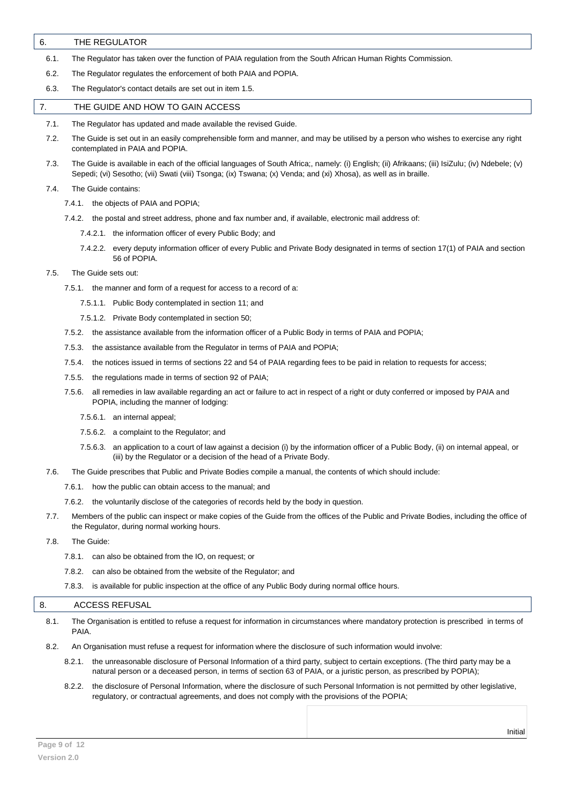#### <span id="page-8-0"></span>6. THE REGULATOR

6.1. The Regulator has taken over the function of PAIA regulation from the South African Human Rights Commission.

- 6.2. The Regulator regulates the enforcement of both PAIA and POPIA.
- 6.3. The Regulator's contact details are set out in item 1.5.

#### <span id="page-8-1"></span>7. THE GUIDE AND HOW TO GAIN ACCESS

- 7.1. The Regulator has updated and made available the revised Guide.
- 7.2. The Guide is set out in an easily comprehensible form and manner, and may be utilised by a person who wishes to exercise any right contemplated in PAIA and POPIA.
- 7.3. The Guide is available in each of the official languages of South Africa;, namely: (i) English; (ii) Afrikaans; (iii) IsiZulu; (iv) Ndebele; (v) Sepedi; (vi) Sesotho; (vii) Swati (viii) Tsonga; (ix) Tswana; (x) Venda; and (xi) Xhosa), as well as in braille.

#### 7.4. The Guide contains:

- 7.4.1. the objects of PAIA and POPIA;
- 7.4.2. the postal and street address, phone and fax number and, if available, electronic mail address of:
	- 7.4.2.1. the information officer of every Public Body; and
	- 7.4.2.2. every deputy information officer of every Public and Private Body designated in terms of section 17(1) of PAIA and section 56 of POPIA.

#### 7.5. The Guide sets out:

- 7.5.1. the manner and form of a request for access to a record of a:
	- 7.5.1.1. Public Body contemplated in section 11; and
	- 7.5.1.2. Private Body contemplated in section 50;
- 7.5.2. the assistance available from the information officer of a Public Body in terms of PAIA and POPIA;
- 7.5.3. the assistance available from the Regulator in terms of PAIA and POPIA;
- 7.5.4. the notices issued in terms of sections 22 and 54 of PAIA regarding fees to be paid in relation to requests for access;
- 7.5.5. the regulations made in terms of section 92 of PAIA;
- 7.5.6. all remedies in law available regarding an act or failure to act in respect of a right or duty conferred or imposed by PAIA and POPIA, including the manner of lodging:
	- 7.5.6.1. an internal appeal;
	- 7.5.6.2. a complaint to the Regulator; and
	- 7.5.6.3. an application to a court of law against a decision (i) by the information officer of a Public Body, (ii) on internal appeal, or (iii) by the Regulator or a decision of the head of a Private Body.
- 7.6. The Guide prescribes that Public and Private Bodies compile a manual, the contents of which should include:
	- 7.6.1. how the public can obtain access to the manual; and
	- 7.6.2. the voluntarily disclose of the categories of records held by the body in question.
- 7.7. Members of the public can inspect or make copies of the Guide from the offices of the Public and Private Bodies, including the office of the Regulator, during normal working hours.
- 7.8. The Guide:
	- 7.8.1. can also be obtained from the IO, on request; or
	- 7.8.2. can also be obtained from the website of the Regulator; and
	- 7.8.3. is available for public inspection at the office of any Public Body during normal office hours.

#### <span id="page-8-2"></span>8. ACCESS REFUSAL

- 8.1. The Organisation is entitled to refuse a request for information in circumstances where mandatory protection is prescribed in terms of PAIA.
- 8.2. An Organisation must refuse a request for information where the disclosure of such information would involve:
	- 8.2.1. the unreasonable disclosure of Personal Information of a third party, subject to certain exceptions. (The third party may be a natural person or a deceased person, in terms of section 63 of PAIA, or a juristic person, as prescribed by POPIA);
	- 8.2.2. the disclosure of Personal Information, where the disclosure of such Personal Information is not permitted by other legislative, regulatory, or contractual agreements, and does not comply with the provisions of the POPIA;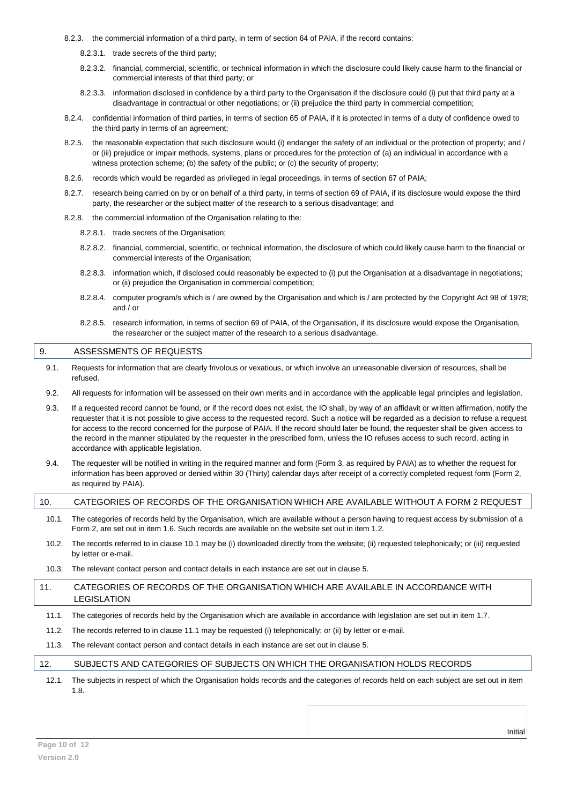- 8.2.3. the commercial information of a third party, in term of section 64 of PAIA, if the record contains:
	- 8.2.3.1. trade secrets of the third party;
	- 8.2.3.2. financial, commercial, scientific, or technical information in which the disclosure could likely cause harm to the financial or commercial interests of that third party; or
	- 8.2.3.3. information disclosed in confidence by a third party to the Organisation if the disclosure could (i) put that third party at a disadvantage in contractual or other negotiations; or (ii) prejudice the third party in commercial competition;
- 8.2.4. confidential information of third parties, in terms of section 65 of PAIA, if it is protected in terms of a duty of confidence owed to the third party in terms of an agreement;
- 8.2.5. the reasonable expectation that such disclosure would (i) endanger the safety of an individual or the protection of property; and / or (iii) prejudice or impair methods, systems, plans or procedures for the protection of (a) an individual in accordance with a witness protection scheme; (b) the safety of the public; or (c) the security of property;
- 8.2.6. records which would be regarded as privileged in legal proceedings, in terms of section 67 of PAIA;
- 8.2.7. research being carried on by or on behalf of a third party, in terms of section 69 of PAIA, if its disclosure would expose the third party, the researcher or the subject matter of the research to a serious disadvantage; and
- 8.2.8. the commercial information of the Organisation relating to the:
	- 8.2.8.1. trade secrets of the Organisation;
	- 8.2.8.2. financial, commercial, scientific, or technical information, the disclosure of which could likely cause harm to the financial or commercial interests of the Organisation;
	- 8.2.8.3. information which, if disclosed could reasonably be expected to (i) put the Organisation at a disadvantage in negotiations; or (ii) prejudice the Organisation in commercial competition;
	- 8.2.8.4. computer program/s which is / are owned by the Organisation and which is / are protected by the Copyright Act 98 of 1978; and / or
	- 8.2.8.5. research information, in terms of section 69 of PAIA, of the Organisation, if its disclosure would expose the Organisation, the researcher or the subject matter of the research to a serious disadvantage.

#### <span id="page-9-0"></span>9. ASSESSMENTS OF REQUESTS

- 9.1. Requests for information that are clearly frivolous or vexatious, or which involve an unreasonable diversion of resources, shall be refused.
- 9.2. All requests for information will be assessed on their own merits and in accordance with the applicable legal principles and legislation.
- 9.3. If a requested record cannot be found, or if the record does not exist, the IO shall, by way of an affidavit or written affirmation, notify the requester that it is not possible to give access to the requested record. Such a notice will be regarded as a decision to refuse a request for access to the record concerned for the purpose of PAIA. If the record should later be found, the requester shall be given access to the record in the manner stipulated by the requester in the prescribed form, unless the IO refuses access to such record, acting in accordance with applicable legislation.
- 9.4. The requester will be notified in writing in the required manner and form (Form 3, as required by PAIA) as to whether the request for information has been approved or denied within 30 (Thirty) calendar days after receipt of a correctly completed request form (Form 2, as required by PAIA).

# <span id="page-9-1"></span>10. CATEGORIES OF RECORDS OF THE ORGANISATION WHICH ARE AVAILABLE WITHOUT A FORM 2 REQUEST

- 10.1. The categories of records held by the Organisation, which are available without a person having to request access by submission of a Form 2, are set out in item 1.6. Such records are available on the website set out in item 1.2.
- 10.2. The records referred to in clause 10.1 may be (i) downloaded directly from the website; (ii) requested telephonically; or (iii) requested by letter or e-mail.
- 10.3. The relevant contact person and contact details in each instance are set out in clause 5.

#### <span id="page-9-2"></span>11. CATEGORIES OF RECORDS OF THE ORGANISATION WHICH ARE AVAILABLE IN ACCORDANCE WITH LEGISLATION

- 11.1. The categories of records held by the Organisation which are available in accordance with legislation are set out in item 1.7.
- 11.2. The records referred to in clause 11.1 may be requested (i) telephonically; or (ii) by letter or e-mail.
- 11.3. The relevant contact person and contact details in each instance are set out in clause 5.

#### <span id="page-9-3"></span>12. SUBJECTS AND CATEGORIES OF SUBJECTS ON WHICH THE ORGANISATION HOLDS RECORDS

12.1. The subjects in respect of which the Organisation holds records and the categories of records held on each subject are set out in item 1.8.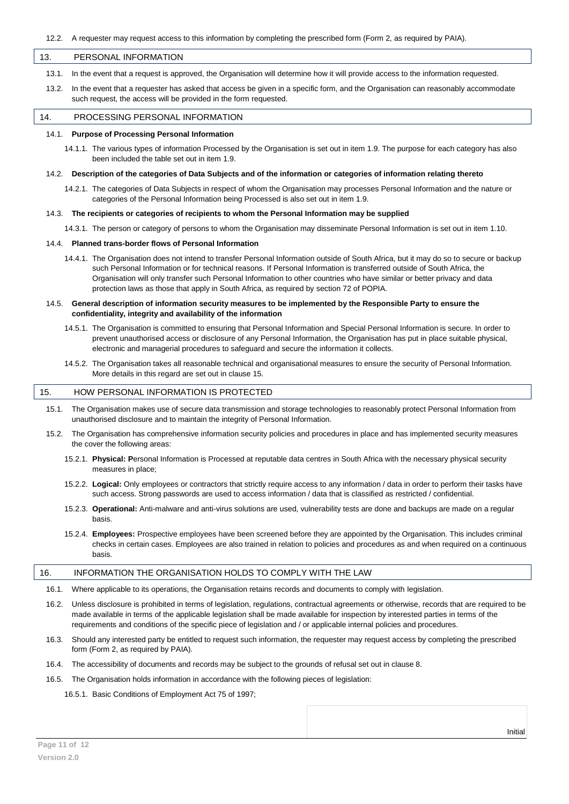#### <span id="page-10-0"></span>13. PERSONAL INFORMATION

13.1. In the event that a request is approved, the Organisation will determine how it will provide access to the information requested.

13.2. In the event that a requester has asked that access be given in a specific form, and the Organisation can reasonably accommodate such request, the access will be provided in the form requested.

#### <span id="page-10-1"></span>14. PROCESSING PERSONAL INFORMATION

#### 14.1. **Purpose of Processing Personal Information**

14.1.1. The various types of information Processed by the Organisation is set out in item 1.9. The purpose for each category has also been included the table set out in item 1.9.

#### 14.2. **Description of the categories of Data Subjects and of the information or categories of information relating thereto**

14.2.1. The categories of Data Subjects in respect of whom the Organisation may processes Personal Information and the nature or categories of the Personal Information being Processed is also set out in item 1.9.

#### 14.3. **The recipients or categories of recipients to whom the Personal Information may be supplied**

14.3.1. The person or category of persons to whom the Organisation may disseminate Personal Information is set out in item 1.10.

#### 14.4. **Planned trans-border flows of Personal Information**

- 14.4.1. The Organisation does not intend to transfer Personal Information outside of South Africa, but it may do so to secure or backup such Personal Information or for technical reasons. If Personal Information is transferred outside of South Africa, the Organisation will only transfer such Personal Information to other countries who have similar or better privacy and data protection laws as those that apply in South Africa, as required by section 72 of POPIA.
- 14.5. **General description of information security measures to be implemented by the Responsible Party to ensure the confidentiality, integrity and availability of the information**
	- 14.5.1. The Organisation is committed to ensuring that Personal Information and Special Personal Information is secure. In order to prevent unauthorised access or disclosure of any Personal Information, the Organisation has put in place suitable physical, electronic and managerial procedures to safeguard and secure the information it collects.
	- 14.5.2. The Organisation takes all reasonable technical and organisational measures to ensure the security of Personal Information. More details in this regard are set out in clause 15.

#### <span id="page-10-2"></span>15. HOW PERSONAL INFORMATION IS PROTECTED

- 15.1. The Organisation makes use of secure data transmission and storage technologies to reasonably protect Personal Information from unauthorised disclosure and to maintain the integrity of Personal Information.
- 15.2. The Organisation has comprehensive information security policies and procedures in place and has implemented security measures the cover the following areas:
	- 15.2.1. **Physical: P**ersonal Information is Processed at reputable data centres in South Africa with the necessary physical security measures in place;
	- 15.2.2. **Logical:** Only employees or contractors that strictly require access to any information / data in order to perform their tasks have such access. Strong passwords are used to access information / data that is classified as restricted / confidential.
	- 15.2.3. **Operational:** Anti-malware and anti-virus solutions are used, vulnerability tests are done and backups are made on a regular basis.
	- 15.2.4. **Employees:** Prospective employees have been screened before they are appointed by the Organisation. This includes criminal checks in certain cases. Employees are also trained in relation to policies and procedures as and when required on a continuous basis.

#### <span id="page-10-3"></span>16. INFORMATION THE ORGANISATION HOLDS TO COMPLY WITH THE LAW

- 16.1. Where applicable to its operations, the Organisation retains records and documents to comply with legislation.
- 16.2. Unless disclosure is prohibited in terms of legislation, regulations, contractual agreements or otherwise, records that are required to be made available in terms of the applicable legislation shall be made available for inspection by interested parties in terms of the requirements and conditions of the specific piece of legislation and / or applicable internal policies and procedures.
- 16.3. Should any interested party be entitled to request such information, the requester may request access by completing the prescribed form (Form 2, as required by PAIA).
- 16.4. The accessibility of documents and records may be subject to the grounds of refusal set out in clause 8.
- 16.5. The Organisation holds information in accordance with the following pieces of legislation:

16.5.1. Basic Conditions of Employment Act 75 of 1997;